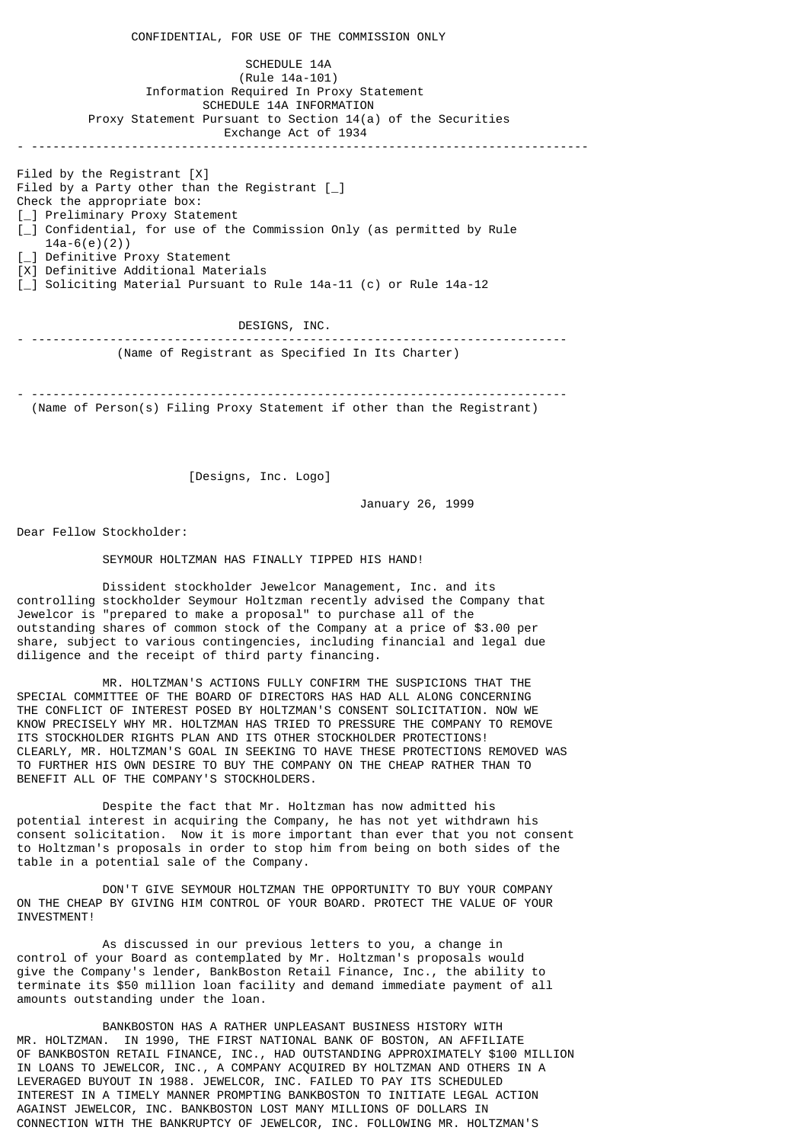CONFIDENTIAL, FOR USE OF THE COMMISSION ONLY SCHEDULE 14A (Rule 14a-101) Information Required In Proxy Statement SCHEDULE 14A INFORMATION Proxy Statement Pursuant to Section 14(a) of the Securities Exchange Act of 1934 - ------------------------------------------------------------------------------ Filed by the Registrant [X] Filed by a Party other than the Registrant  $\lceil \_ \rceil$ Check the appropriate box: [\_] Preliminary Proxy Statement [\_] Confidential, for use of the Commission Only (as permitted by Rule 14a-6(e)(2)) [\_] Definitive Proxy Statement [X] Definitive Additional Materials [\_] Soliciting Material Pursuant to Rule 14a-11 (c) or Rule 14a-12

 DESIGNS, INC. - --------------------------------------------------------------------------- (Name of Registrant as Specified In Its Charter)

- --------------------------------------------------------------------------- (Name of Person(s) Filing Proxy Statement if other than the Registrant)

[Designs, Inc. Logo]

January 26, 1999

Dear Fellow Stockholder:

SEYMOUR HOLTZMAN HAS FINALLY TIPPED HIS HAND!

 Dissident stockholder Jewelcor Management, Inc. and its controlling stockholder Seymour Holtzman recently advised the Company that Jewelcor is "prepared to make a proposal" to purchase all of the outstanding shares of common stock of the Company at a price of \$3.00 per share, subject to various contingencies, including financial and legal due diligence and the receipt of third party financing.

 MR. HOLTZMAN'S ACTIONS FULLY CONFIRM THE SUSPICIONS THAT THE SPECIAL COMMITTEE OF THE BOARD OF DIRECTORS HAS HAD ALL ALONG CONCERNING THE CONFLICT OF INTEREST POSED BY HOLTZMAN'S CONSENT SOLICITATION. NOW WE KNOW PRECISELY WHY MR. HOLTZMAN HAS TRIED TO PRESSURE THE COMPANY TO REMOVE ITS STOCKHOLDER RIGHTS PLAN AND ITS OTHER STOCKHOLDER PROTECTIONS! CLEARLY, MR. HOLTZMAN'S GOAL IN SEEKING TO HAVE THESE PROTECTIONS REMOVED WAS TO FURTHER HIS OWN DESIRE TO BUY THE COMPANY ON THE CHEAP RATHER THAN TO BENEFIT ALL OF THE COMPANY'S STOCKHOLDERS.

 Despite the fact that Mr. Holtzman has now admitted his potential interest in acquiring the Company, he has not yet withdrawn his consent solicitation. Now it is more important than ever that you not consent to Holtzman's proposals in order to stop him from being on both sides of the table in a potential sale of the Company.

 DON'T GIVE SEYMOUR HOLTZMAN THE OPPORTUNITY TO BUY YOUR COMPANY ON THE CHEAP BY GIVING HIM CONTROL OF YOUR BOARD. PROTECT THE VALUE OF YOUR INVESTMENT!

 As discussed in our previous letters to you, a change in control of your Board as contemplated by Mr. Holtzman's proposals would give the Company's lender, BankBoston Retail Finance, Inc., the ability to terminate its \$50 million loan facility and demand immediate payment of all amounts outstanding under the loan.

 BANKBOSTON HAS A RATHER UNPLEASANT BUSINESS HISTORY WITH MR. HOLTZMAN. IN 1990, THE FIRST NATIONAL BANK OF BOSTON, AN AFFILIATE OF BANKBOSTON RETAIL FINANCE, INC., HAD OUTSTANDING APPROXIMATELY \$100 MILLION IN LOANS TO JEWELCOR, INC., A COMPANY ACQUIRED BY HOLTZMAN AND OTHERS IN A LEVERAGED BUYOUT IN 1988. JEWELCOR, INC. FAILED TO PAY ITS SCHEDULED INTEREST IN A TIMELY MANNER PROMPTING BANKBOSTON TO INITIATE LEGAL ACTION AGAINST JEWELCOR, INC. BANKBOSTON LOST MANY MILLIONS OF DOLLARS IN CONNECTION WITH THE BANKRUPTCY OF JEWELCOR, INC. FOLLOWING MR. HOLTZMAN'S